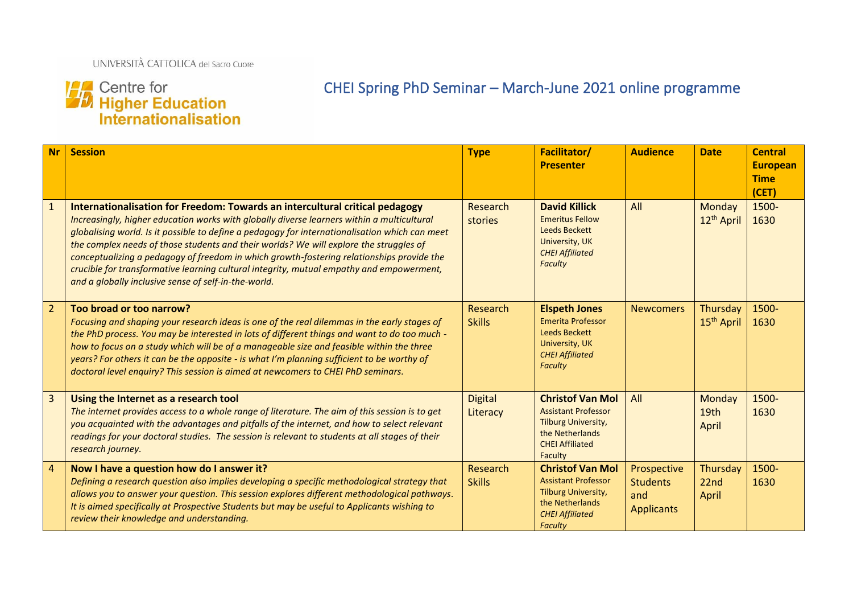# **14 Centre for<br>14 Higher Education<br>Internationalisation**

# CHEI Spring PhD Seminar – March-June 2021 online programme

| <b>Nr</b>      | <b>Session</b>                                                                                                                                                                                                                                                                                                                                                                                                                                                                                                                                                                                                          | <b>Type</b>                | <b>Facilitator/</b><br><b>Presenter</b>                                                                                                     | <b>Audience</b>                                            | <b>Date</b>                           | <b>Central</b><br><b>European</b><br><b>Time</b><br>(CET) |
|----------------|-------------------------------------------------------------------------------------------------------------------------------------------------------------------------------------------------------------------------------------------------------------------------------------------------------------------------------------------------------------------------------------------------------------------------------------------------------------------------------------------------------------------------------------------------------------------------------------------------------------------------|----------------------------|---------------------------------------------------------------------------------------------------------------------------------------------|------------------------------------------------------------|---------------------------------------|-----------------------------------------------------------|
| $\mathbf{1}$   | Internationalisation for Freedom: Towards an intercultural critical pedagogy<br>Increasingly, higher education works with globally diverse learners within a multicultural<br>globalising world. Is it possible to define a pedagogy for internationalisation which can meet<br>the complex needs of those students and their worlds? We will explore the struggles of<br>conceptualizing a pedagogy of freedom in which growth-fostering relationships provide the<br>crucible for transformative learning cultural integrity, mutual empathy and empowerment,<br>and a globally inclusive sense of self-in-the-world. | Research<br>stories        | <b>David Killick</b><br><b>Emeritus Fellow</b><br><b>Leeds Beckett</b><br>University, UK<br><b>CHEI Affiliated</b><br><b>Faculty</b>        | All                                                        | Monday<br>12 <sup>th</sup> April      | 1500-<br>1630                                             |
| $\overline{2}$ | Too broad or too narrow?<br>Focusing and shaping your research ideas is one of the real dilemmas in the early stages of<br>the PhD process. You may be interested in lots of different things and want to do too much -<br>how to focus on a study which will be of a manageable size and feasible within the three<br>years? For others it can be the opposite - is what I'm planning sufficient to be worthy of<br>doctoral level enquiry? This session is aimed at newcomers to CHEI PhD seminars.                                                                                                                   | Research<br><b>Skills</b>  | <b>Elspeth Jones</b><br><b>Emerita Professor</b><br><b>Leeds Beckett</b><br>University, UK<br><b>CHEI Affiliated</b><br><b>Faculty</b>      | <b>Newcomers</b>                                           | Thursday<br>15 <sup>th</sup> April    | 1500-<br>1630                                             |
| $\overline{3}$ | Using the Internet as a research tool<br>The internet provides access to a whole range of literature. The aim of this session is to get<br>you acquainted with the advantages and pitfalls of the internet, and how to select relevant<br>readings for your doctoral studies. The session is relevant to students at all stages of their<br>research journey.                                                                                                                                                                                                                                                           | <b>Digital</b><br>Literacy | <b>Christof Van Mol</b><br><b>Assistant Professor</b><br>Tilburg University,<br>the Netherlands<br><b>CHEI Affiliated</b><br>Faculty        | All                                                        | Monday<br>19 <sub>th</sub><br>April   | 1500-<br>1630                                             |
| $\overline{4}$ | Now I have a question how do I answer it?<br>Defining a research question also implies developing a specific methodological strategy that<br>allows you to answer your question. This session explores different methodological pathways.<br>It is aimed specifically at Prospective Students but may be useful to Applicants wishing to<br>review their knowledge and understanding.                                                                                                                                                                                                                                   | Research<br><b>Skills</b>  | <b>Christof Van Mol</b><br><b>Assistant Professor</b><br>Tilburg University,<br>the Netherlands<br><b>CHEI Affiliated</b><br><b>Faculty</b> | Prospective<br><b>Students</b><br>and<br><b>Applicants</b> | Thursday<br>22 <sub>nd</sub><br>April | 1500-<br>1630                                             |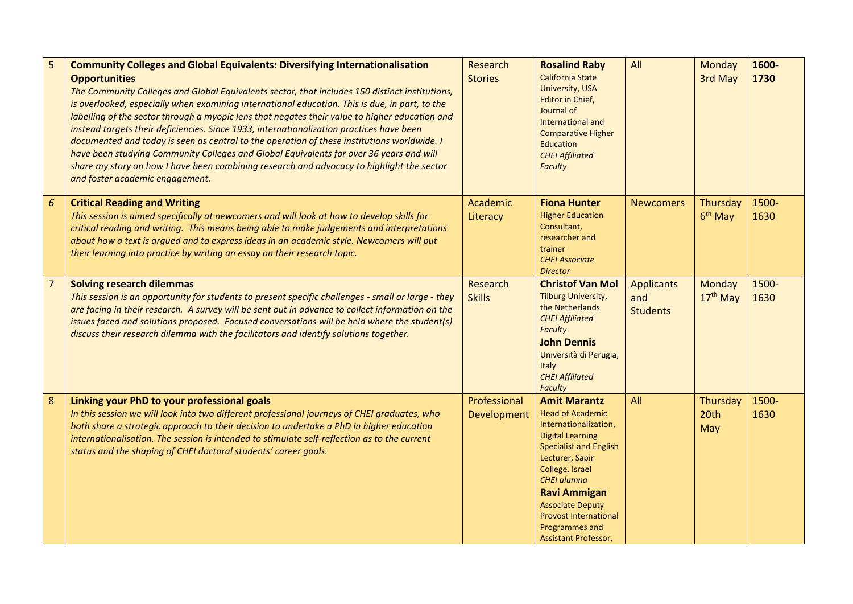| 5              | <b>Community Colleges and Global Equivalents: Diversifying Internationalisation</b><br><b>Opportunities</b><br>The Community Colleges and Global Equivalents sector, that includes 150 distinct institutions,<br>is overlooked, especially when examining international education. This is due, in part, to the<br>labelling of the sector through a myopic lens that negates their value to higher education and<br>instead targets their deficiencies. Since 1933, internationalization practices have been<br>documented and today is seen as central to the operation of these institutions worldwide. I<br>have been studying Community Colleges and Global Equivalents for over 36 years and will<br>share my story on how I have been combining research and advocacy to highlight the sector<br>and foster academic engagement. | Research<br><b>Stories</b>  | <b>Rosalind Raby</b><br><b>California State</b><br>University, USA<br>Editor in Chief,<br>Journal of<br>International and<br><b>Comparative Higher</b><br>Education<br><b>CHEI Affiliated</b><br><b>Faculty</b>                                                                                                             | All                                         | Monday<br>3rd May           | 1600-<br>1730 |
|----------------|-----------------------------------------------------------------------------------------------------------------------------------------------------------------------------------------------------------------------------------------------------------------------------------------------------------------------------------------------------------------------------------------------------------------------------------------------------------------------------------------------------------------------------------------------------------------------------------------------------------------------------------------------------------------------------------------------------------------------------------------------------------------------------------------------------------------------------------------|-----------------------------|-----------------------------------------------------------------------------------------------------------------------------------------------------------------------------------------------------------------------------------------------------------------------------------------------------------------------------|---------------------------------------------|-----------------------------|---------------|
| 6              | <b>Critical Reading and Writing</b><br>This session is aimed specifically at newcomers and will look at how to develop skills for<br>critical reading and writing. This means being able to make judgements and interpretations<br>about how a text is argued and to express ideas in an academic style. Newcomers will put<br>their learning into practice by writing an essay on their research topic.                                                                                                                                                                                                                                                                                                                                                                                                                                | Academic<br>Literacy        | <b>Fiona Hunter</b><br><b>Higher Education</b><br>Consultant,<br>researcher and<br>trainer<br><b>CHEI Associate</b><br><b>Director</b>                                                                                                                                                                                      | <b>Newcomers</b>                            | Thursday<br>$6th$ May       | 1500-<br>1630 |
| $\overline{7}$ | <b>Solving research dilemmas</b><br>This session is an opportunity for students to present specific challenges - small or large - they<br>are facing in their research. A survey will be sent out in advance to collect information on the<br>issues faced and solutions proposed. Focused conversations will be held where the student(s)<br>discuss their research dilemma with the facilitators and identify solutions together.                                                                                                                                                                                                                                                                                                                                                                                                     | Research<br><b>Skills</b>   | <b>Christof Van Mol</b><br>Tilburg University,<br>the Netherlands<br><b>CHEI Affiliated</b><br><b>Faculty</b><br><b>John Dennis</b><br>Università di Perugia,<br>Italy<br><b>CHEI Affiliated</b><br><b>Faculty</b>                                                                                                          | <b>Applicants</b><br>and<br><b>Students</b> | <b>Monday</b><br>$17th$ May | 1500-<br>1630 |
| 8              | Linking your PhD to your professional goals<br>In this session we will look into two different professional journeys of CHEI graduates, who<br>both share a strategic approach to their decision to undertake a PhD in higher education<br>internationalisation. The session is intended to stimulate self-reflection as to the current<br>status and the shaping of CHEI doctoral students' career goals.                                                                                                                                                                                                                                                                                                                                                                                                                              | Professional<br>Development | <b>Amit Marantz</b><br><b>Head of Academic</b><br>Internationalization,<br><b>Digital Learning</b><br><b>Specialist and English</b><br>Lecturer, Sapir<br>College, Israel<br><b>CHEI alumna</b><br><b>Ravi Ammigan</b><br><b>Associate Deputy</b><br><b>Provost International</b><br>Programmes and<br>Assistant Professor, | All                                         | Thursday<br>20th<br>May     | 1500-<br>1630 |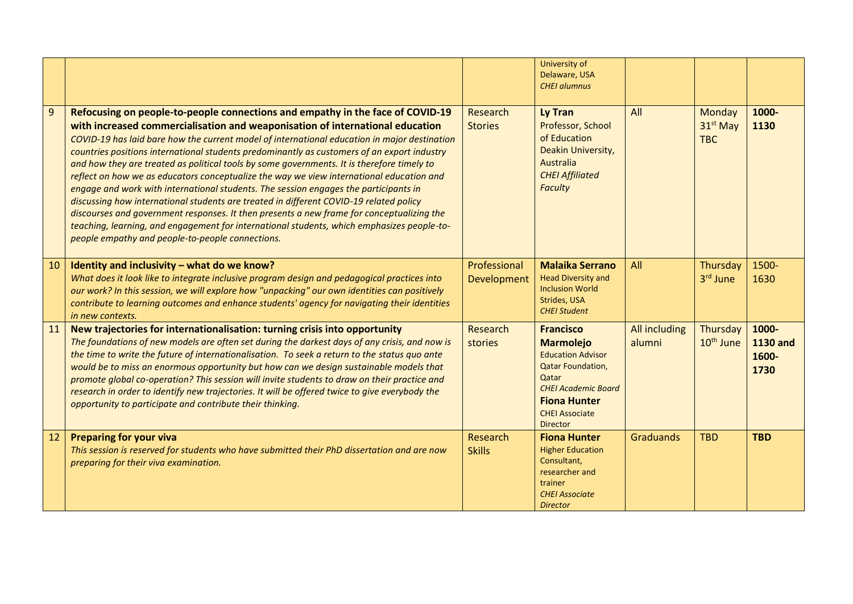|    |                                                                                                                                                                                                                                                                                                                                                                                                                                                                                                                                                                                                                                                                                                                                                                                                                                                                                                                                                                                           |                             | University of<br>Delaware, USA<br><b>CHEI alumnus</b>                                                                                                                                                  |                         |                                              |                                           |
|----|-------------------------------------------------------------------------------------------------------------------------------------------------------------------------------------------------------------------------------------------------------------------------------------------------------------------------------------------------------------------------------------------------------------------------------------------------------------------------------------------------------------------------------------------------------------------------------------------------------------------------------------------------------------------------------------------------------------------------------------------------------------------------------------------------------------------------------------------------------------------------------------------------------------------------------------------------------------------------------------------|-----------------------------|--------------------------------------------------------------------------------------------------------------------------------------------------------------------------------------------------------|-------------------------|----------------------------------------------|-------------------------------------------|
| 9  | Refocusing on people-to-people connections and empathy in the face of COVID-19<br>with increased commercialisation and weaponisation of international education<br>COVID-19 has laid bare how the current model of international education in major destination<br>countries positions international students predominantly as customers of an export industry<br>and how they are treated as political tools by some governments. It is therefore timely to<br>reflect on how we as educators conceptualize the way we view international education and<br>engage and work with international students. The session engages the participants in<br>discussing how international students are treated in different COVID-19 related policy<br>discourses and government responses. It then presents a new frame for conceptualizing the<br>teaching, learning, and engagement for international students, which emphasizes people-to-<br>people empathy and people-to-people connections. | Research<br><b>Stories</b>  | Ly Tran<br>Professor, School<br>of Education<br>Deakin University,<br>Australia<br><b>CHEI Affiliated</b><br><b>Faculty</b>                                                                            | All                     | Monday<br>31 <sup>st</sup> May<br><b>TBC</b> | 1000-<br>1130                             |
| 10 | Identity and inclusivity - what do we know?<br>What does it look like to integrate inclusive program design and pedagogical practices into<br>our work? In this session, we will explore how "unpacking" our own identities can positively<br>contribute to learning outcomes and enhance students' agency for navigating their identities<br>in new contexts.                                                                                                                                                                                                                                                                                                                                                                                                                                                                                                                                                                                                                            | Professional<br>Development | <b>Malaika Serrano</b><br><b>Head Diversity and</b><br><b>Inclusion World</b><br>Strides, USA<br><b>CHEI Student</b>                                                                                   | All                     | Thursday<br>3rd June                         | 1500-<br>1630                             |
| 11 | New trajectories for internationalisation: turning crisis into opportunity<br>The foundations of new models are often set during the darkest days of any crisis, and now is<br>the time to write the future of internationalisation. To seek a return to the status quo ante<br>would be to miss an enormous opportunity but how can we design sustainable models that<br>promote global co-operation? This session will invite students to draw on their practice and<br>research in order to identify new trajectories. It will be offered twice to give everybody the<br>opportunity to participate and contribute their thinking.                                                                                                                                                                                                                                                                                                                                                     | Research<br>stories         | <b>Francisco</b><br><b>Marmolejo</b><br><b>Education Advisor</b><br><b>Qatar Foundation,</b><br>Qatar<br><b>CHEI Academic Board</b><br><b>Fiona Hunter</b><br><b>CHEI Associate</b><br><b>Director</b> | All including<br>alumni | Thursday<br>10 <sup>th</sup> June            | 1000-<br><b>1130 and</b><br>1600-<br>1730 |
| 12 | <b>Preparing for your viva</b><br>This session is reserved for students who have submitted their PhD dissertation and are now<br>preparing for their viva examination.                                                                                                                                                                                                                                                                                                                                                                                                                                                                                                                                                                                                                                                                                                                                                                                                                    | Research<br><b>Skills</b>   | <b>Fiona Hunter</b><br><b>Higher Education</b><br>Consultant,<br>researcher and<br>trainer<br><b>CHEI Associate</b><br><b>Director</b>                                                                 | Graduands               | <b>TBD</b>                                   | <b>TBD</b>                                |